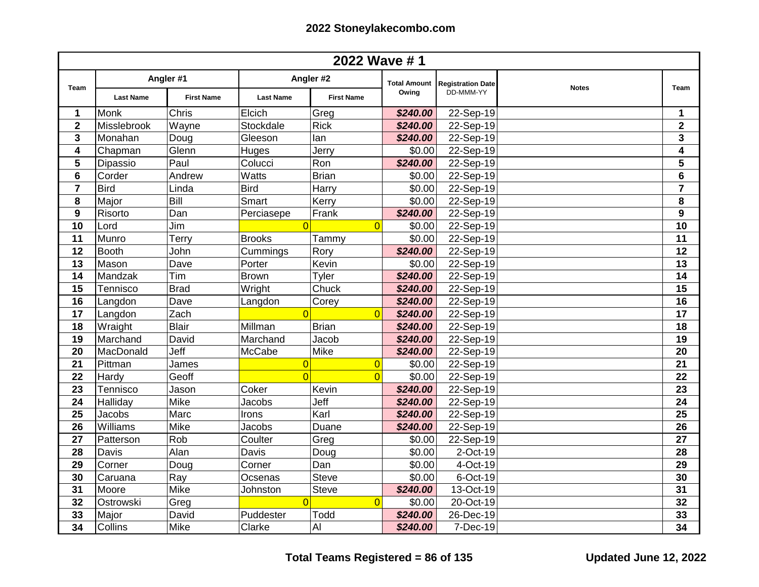| 2022 Wave #1            |                  |                                |                  |                                |                              |                                       |              |                         |
|-------------------------|------------------|--------------------------------|------------------|--------------------------------|------------------------------|---------------------------------------|--------------|-------------------------|
| <b>Team</b>             | <b>Last Name</b> | Angler #1<br><b>First Name</b> | <b>Last Name</b> | Angler #2<br><b>First Name</b> | <b>Total Amount</b><br>Owing | <b>Registration Date</b><br>DD-MMM-YY | <b>Notes</b> | <b>Team</b>             |
| $\mathbf 1$             | Monk             | <b>Chris</b>                   | Elcich           | Greg                           | \$240.00                     | $22-Sep-19$                           |              | $\mathbf 1$             |
| $\overline{\mathbf{2}}$ | Misslebrook      | Wayne                          | Stockdale        | <b>Rick</b>                    | \$240.00                     | 22-Sep-19                             |              | $\overline{\mathbf{2}}$ |
| 3                       | Monahan          | Doug                           | Gleeson          | lan                            | \$240.00                     | 22-Sep-19                             |              | $\overline{\mathbf{3}}$ |
| 4                       | Chapman          | Glenn                          | Huges            | Jerry                          | \$0.00                       | 22-Sep-19                             |              | $\overline{\mathbf{4}}$ |
| 5                       | Dipassio         | Paul                           | Colucci          | Ron                            | \$240.00                     | 22-Sep-19                             |              | 5                       |
| 6                       | Corder           | Andrew                         | Watts            | <b>Brian</b>                   | \$0.00                       | 22-Sep-19                             |              | 6                       |
| $\overline{7}$          | <b>Bird</b>      | Linda                          | <b>Bird</b>      | Harry                          | \$0.00                       | 22-Sep-19                             |              | $\overline{\mathbf{7}}$ |
| 8                       | Major            | Bill                           | Smart            | Kerry                          | \$0.00                       | 22-Sep-19                             |              | 8                       |
| 9                       | Risorto          | Dan                            | Perciasepe       | Frank                          | \$240.00                     | 22-Sep-19                             |              | $\boldsymbol{9}$        |
| 10                      | Lord             | Jim                            | $\Omega$         | $\Omega$                       | \$0.00                       | 22-Sep-19                             |              | 10                      |
| 11                      | Munro            | Terry                          | <b>Brooks</b>    | Tammy                          | \$0.00                       | 22-Sep-19                             |              | 11                      |
| 12                      | <b>Booth</b>     | John                           | Cummings         | Rory                           | \$240.00                     | 22-Sep-19                             |              | 12                      |
| 13                      | Mason            | Dave                           | Porter           | Kevin                          | \$0.00                       | 22-Sep-19                             |              | 13                      |
| 14                      | Mandzak          | Tim                            | <b>Brown</b>     | Tyler                          | \$240.00                     | 22-Sep-19                             |              | 14                      |
| 15                      | Tennisco         | <b>Brad</b>                    | Wright           | Chuck                          | \$240.00                     | 22-Sep-19                             |              | $\overline{15}$         |
| 16                      | Langdon          | Dave                           | Langdon          | Corey                          | \$240.00                     | 22-Sep-19                             |              | 16                      |
| 17                      | Langdon          | Zach                           | $\Omega$         | $\Omega$                       | \$240.00                     | $22-Sep-19$                           |              | 17                      |
| 18                      | Wraight          | <b>Blair</b>                   | Millman          | <b>Brian</b>                   | \$240.00                     | 22-Sep-19                             |              | 18                      |
| 19                      | Marchand         | David                          | Marchand         | Jacob                          | \$240.00                     | 22-Sep-19                             |              | 19                      |
| 20                      | MacDonald        | Jeff                           | McCabe           | <b>Mike</b>                    | \$240.00                     | 22-Sep-19                             |              | 20                      |
| 21                      | Pittman          | James                          | $\overline{0}$   | $\overline{0}$                 | \$0.00                       | 22-Sep-19                             |              | 21                      |
| 22                      | Hardy            | Geoff                          | $\overline{0}$   | $\overline{0}$                 | \$0.00                       | 22-Sep-19                             |              | 22                      |
| 23                      | Tennisco         | Jason                          | Coker            | Kevin                          | \$240.00                     | 22-Sep-19                             |              | 23                      |
| 24                      | Halliday         | Mike                           | Jacobs           | Jeff                           | \$240.00                     | 22-Sep-19                             |              | 24                      |
| 25                      | Jacobs           | Marc                           | Irons            | Karl                           | \$240.00                     | 22-Sep-19                             |              | 25                      |
| 26                      | Williams         | Mike                           | Jacobs           | Duane                          | \$240.00                     | 22-Sep-19                             |              | 26                      |
| 27                      | Patterson        | Rob                            | Coulter          | Greg                           | \$0.00                       | 22-Sep-19                             |              | 27                      |
| 28                      | Davis            | Alan                           | Davis            | Doug                           | \$0.00                       | 2-Oct-19                              |              | 28                      |
| 29                      | Corner           | Doug                           | Corner           | Dan                            | \$0.00                       | 4-Oct-19                              |              | 29                      |
| 30                      | Caruana          | Ray                            | Ocsenas          | <b>Steve</b>                   | \$0.00                       | 6-Oct-19                              |              | 30                      |
| 31                      | Moore            | Mike                           | Johnston         | <b>Steve</b>                   | \$240.00                     | 13-Oct-19                             |              | 31                      |
| 32                      | Ostrowski        | Greg                           | $\Omega$         | $\Omega$                       | \$0.00                       | 20-Oct-19                             |              | 32                      |
| 33                      | Major            | David                          | Puddester        | Todd                           | \$240.00                     | 26-Dec-19                             |              | 33                      |
| 34                      | Collins          | <b>Mike</b>                    | Clarke           | AI                             | \$240.00                     | 7-Dec-19                              |              | 34                      |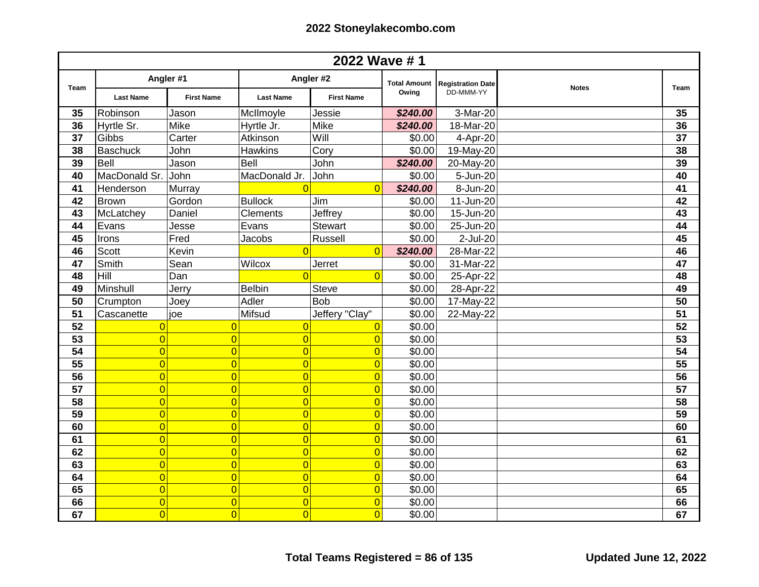| 2022 Wave #1 |                    |                   |                  |                   |                     |                          |              |                 |
|--------------|--------------------|-------------------|------------------|-------------------|---------------------|--------------------------|--------------|-----------------|
| Team         | Angler #1          |                   | Angler #2        |                   | <b>Total Amount</b> | <b>Registration Date</b> | <b>Notes</b> | Team            |
|              | <b>Last Name</b>   | <b>First Name</b> | <b>Last Name</b> | <b>First Name</b> | Owing               | DD-MMM-YY                |              |                 |
| 35           | Robinson           | Jason             | McIlmoyle        | Jessie            | \$240.00            | 3-Mar-20                 |              | 35              |
| 36           | Hyrtle Sr.         | <b>Mike</b>       | Hyrtle Jr.       | Mike              | \$240.00            | 18-Mar-20                |              | 36              |
| 37           | Gibbs              | Carter            | Atkinson         | Will              | \$0.00              | 4-Apr-20                 |              | 37              |
| 38           | Baschuck           | John              | <b>Hawkins</b>   | Cory              | \$0.00              | 19-May-20                |              | 38              |
| 39           | Bell               | Jason             | <b>Bell</b>      | John              | \$240.00            | 20-May-20                |              | 39              |
| 40           | MacDonald Sr. John |                   | MacDonald Jr.    | John              | \$0.00              | 5-Jun-20                 |              | 40              |
| 41           | Henderson          | Murray            | $\Omega$         | $\Omega$          | \$240.00            | 8-Jun-20                 |              | $\overline{41}$ |
| 42           | <b>Brown</b>       | Gordon            | <b>Bullock</b>   | Jim               | \$0.00              | 11-Jun-20                |              | $\overline{42}$ |
| 43           | McLatchey          | Daniel            | Clements         | Jeffrey           | \$0.00              | 15-Jun-20                |              | 43              |
| 44           | Evans              | Jesse             | Evans            | <b>Stewart</b>    | \$0.00              | 25-Jun-20                |              | 44              |
| 45           | Irons              | Fred              | Jacobs           | Russell           | \$0.00              | 2-Jul-20                 |              | 45              |
| 46           | <b>Scott</b>       | Kevin             | $\overline{0}$   | $\Omega$          | \$240.00            | 28-Mar-22                |              | 46              |
| 47           | Smith              | Sean              | Wilcox           | Jerret            | \$0.00              | 31-Mar-22                |              | 47              |
| 48           | Hill               | Dan               | $\overline{0}$   | $\Omega$          | \$0.00              | 25-Apr-22                |              | 48              |
| 49           | Minshull           | Jerry             | <b>Belbin</b>    | <b>Steve</b>      | \$0.00              | 28-Apr-22                |              | 49              |
| 50           | Crumpton           | Joey              | Adler            | <b>Bob</b>        | \$0.00              | 17-May-22                |              | 50              |
| 51           | Cascanette         | joe               | Mifsud           | Jeffery "Clay"    | \$0.00              | 22-May-22                |              | 51              |
| 52           | $\overline{0}$     | $\overline{0}$    | $\overline{0}$   | $\overline{0}$    | \$0.00              |                          |              | 52              |
| 53           | $\overline{0}$     | $\overline{0}$    | $\overline{0}$   | $\overline{0}$    | \$0.00              |                          |              | 53              |
| 54           | $\overline{0}$     | $\overline{0}$    | $\overline{0}$   | $\overline{0}$    | \$0.00              |                          |              | $\overline{54}$ |
| 55           | $\overline{0}$     | $\overline{0}$    | $\overline{0}$   | $\overline{0}$    | \$0.00              |                          |              | $\overline{55}$ |
| 56           | $\overline{0}$     | $\overline{0}$    | $\overline{0}$   | $\overline{0}$    | \$0.00              |                          |              | 56              |
| 57           | $\overline{0}$     | $\overline{0}$    | $\overline{0}$   | $\overline{0}$    | \$0.00              |                          |              | 57              |
| 58           | $\overline{0}$     | $\overline{0}$    | $\overline{0}$   | $\overline{0}$    | \$0.00              |                          |              | 58              |
| 59           | $\overline{0}$     | $\overline{0}$    | $\overline{0}$   | $\overline{0}$    | \$0.00              |                          |              | 59              |
| 60           | $\overline{0}$     | $\overline{0}$    | $\overline{0}$   | $\overline{0}$    | \$0.00              |                          |              | 60              |
| 61           | $\overline{0}$     | $\overline{0}$    | $\overline{0}$   | $\overline{0}$    | \$0.00              |                          |              | 61              |
| 62           | $\overline{0}$     | $\overline{0}$    | $\overline{0}$   | $\overline{0}$    | \$0.00              |                          |              | 62              |
| 63           | $\overline{0}$     | $\overline{0}$    | $\overline{0}$   | $\overline{0}$    | \$0.00              |                          |              | 63              |
| 64           | $\overline{0}$     | $\overline{0}$    | $\overline{0}$   | $\overline{0}$    | \$0.00              |                          |              | 64              |
| 65           | $\overline{0}$     | $\overline{0}$    | $\overline{0}$   | $\Omega$          | \$0.00              |                          |              | 65              |
| 66           | $\overline{0}$     | $\overline{0}$    | $\overline{0}$   | $\Omega$          | \$0.00              |                          |              | 66              |
| 67           | $\overline{0}$     | $\overline{0}$    | $\overline{0}$   | $\Omega$          | \$0.00              |                          |              | 67              |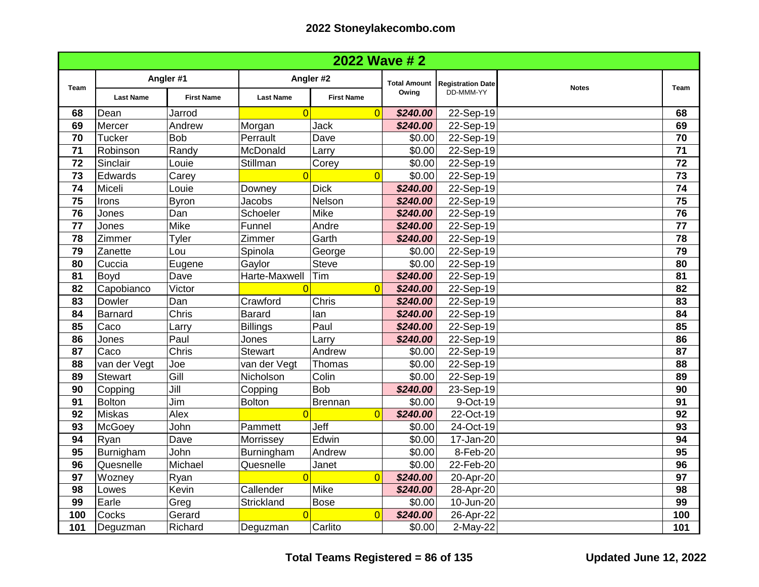| <b>2022 Wave #2</b> |                  |                            |                  |                   |                     |                          |              |                 |
|---------------------|------------------|----------------------------|------------------|-------------------|---------------------|--------------------------|--------------|-----------------|
| Team                | Angler #1        |                            | Angler #2        |                   | <b>Total Amount</b> | <b>Registration Date</b> | <b>Notes</b> | <b>Team</b>     |
|                     | <b>Last Name</b> | <b>First Name</b>          | <b>Last Name</b> | <b>First Name</b> | Owing               | DD-MMM-YY                |              |                 |
| 68                  | Dean             | Jarrod                     | $\Omega$         | $\Omega$          | \$240.00            | $22-Sep-19$              |              | 68              |
| 69                  | Mercer           | Andrew                     | Morgan           | Jack              | \$240.00            | 22-Sep-19                |              | 69              |
| 70                  | <b>Tucker</b>    | <b>Bob</b>                 | Perrault         | Dave              | \$0.00              | $22-Sep-19$              |              | 70              |
| 71                  | Robinson         | Randy                      | McDonald         | Larry             | \$0.00              | 22-Sep-19                |              | 71              |
| 72                  | Sinclair         | Louie                      | Stillman         | Corey             | \$0.00              | 22-Sep-19                |              | 72              |
| 73                  | Edwards          | Carey                      | $\overline{0}$   | $\overline{0}$    | \$0.00              | 22-Sep-19                |              | 73              |
| 74                  | Miceli           | Louie                      | Downey           | <b>Dick</b>       | \$240.00            | 22-Sep-19                |              | 74              |
| 75                  | Irons            | <b>Byron</b>               | Jacobs           | Nelson            | \$240.00            | 22-Sep-19                |              | 75              |
| 76                  | Jones            | Dan                        | Schoeler         | Mike              | \$240.00            | 22-Sep-19                |              | 76              |
| 77                  | Jones            | Mike                       | Funnel           | Andre             | \$240.00            | 22-Sep-19                |              | 77              |
| 78                  | Zimmer           | Tyler                      | Zimmer           | Garth             | \$240.00            | 22-Sep-19                |              | 78              |
| 79                  | Zanette          | Lou                        | Spinola          | George            | \$0.00              | 22-Sep-19                |              | 79              |
| 80                  | Cuccia           | Eugene                     | Gaylor           | <b>Steve</b>      | \$0.00              | 22-Sep-19                |              | 80              |
| 81                  | <b>Boyd</b>      | Dave                       | Harte-Maxwell    | Tim               | \$240.00            | 22-Sep-19                |              | 81              |
| 82                  | Capobianco       | Victor                     |                  | $\overline{0}$    | \$240.00            | 22-Sep-19                |              | 82              |
| 83                  | Dowler           | Dan                        | Crawford         | Chris             | \$240.00            | 22-Sep-19                |              | $\overline{83}$ |
| 84                  | <b>Barnard</b>   | Chris                      | <b>Barard</b>    | lan               | \$240.00            | $22-Sep-19$              |              | 84              |
| 85                  | Caco             | Larry                      | <b>Billings</b>  | Paul              | \$240.00            | 22-Sep-19                |              | 85              |
| 86                  | Jones            | Paul                       | Jones            | Larry             | \$240.00            | 22-Sep-19                |              | 86              |
| 87                  | Caco             | Chris                      | <b>Stewart</b>   | Andrew            | \$0.00              | 22-Sep-19                |              | 87              |
| 88                  | van der Vegt     | Joe                        | van der Vegt     | Thomas            | \$0.00              | 22-Sep-19                |              | 88              |
| 89                  | Stewart          | Gill                       | Nicholson        | Colin             | \$0.00              | 22-Sep-19                |              | 89              |
| 90                  | Copping          | $\overline{\mathsf{Jill}}$ | Copping          | <b>Bob</b>        | \$240.00            | 23-Sep-19                |              | 90              |
| 91                  | <b>Bolton</b>    | Jim                        | <b>Bolton</b>    | <b>Brennan</b>    | \$0.00              | 9-Oct-19                 |              | 91              |
| 92                  | Miskas           | Alex                       | $\Omega$         | $\Omega$          | \$240.00            | 22-Oct-19                |              | 92              |
| 93                  | McGoey           | John                       | Pammett          | Jeff              | \$0.00              | 24-Oct-19                |              | 93              |
| 94                  | Ryan             | Dave                       | Morrissey        | Edwin             | \$0.00              | 17-Jan-20                |              | 94              |
| 95                  | Burnigham        | John                       | Burningham       | Andrew            | \$0.00              | 8-Feb-20                 |              | 95              |
| 96                  | Quesnelle        | Michael                    | Quesnelle        | Janet             | \$0.00              | 22-Feb-20                |              | 96              |
| 97                  | Wozney           | Ryan                       | $\Omega$         | $\overline{0}$    | \$240.00            | 20-Apr-20                |              | 97              |
| 98                  | Lowes            | Kevin                      | Callender        | Mike              | \$240.00            | 28-Apr-20                |              | 98              |
| 99                  | Earle            | Greg                       | Strickland       | <b>Bose</b>       | \$0.00              | 10-Jun-20                |              | 99              |
| 100                 | Cocks            | Gerard                     | $\Omega$         | $\overline{0}$    | \$240.00            | 26-Apr-22                |              | 100             |
| 101                 | Deguzman         | Richard                    | Deguzman         | Carlito           | \$0.00              | 2-May-22                 |              | 101             |